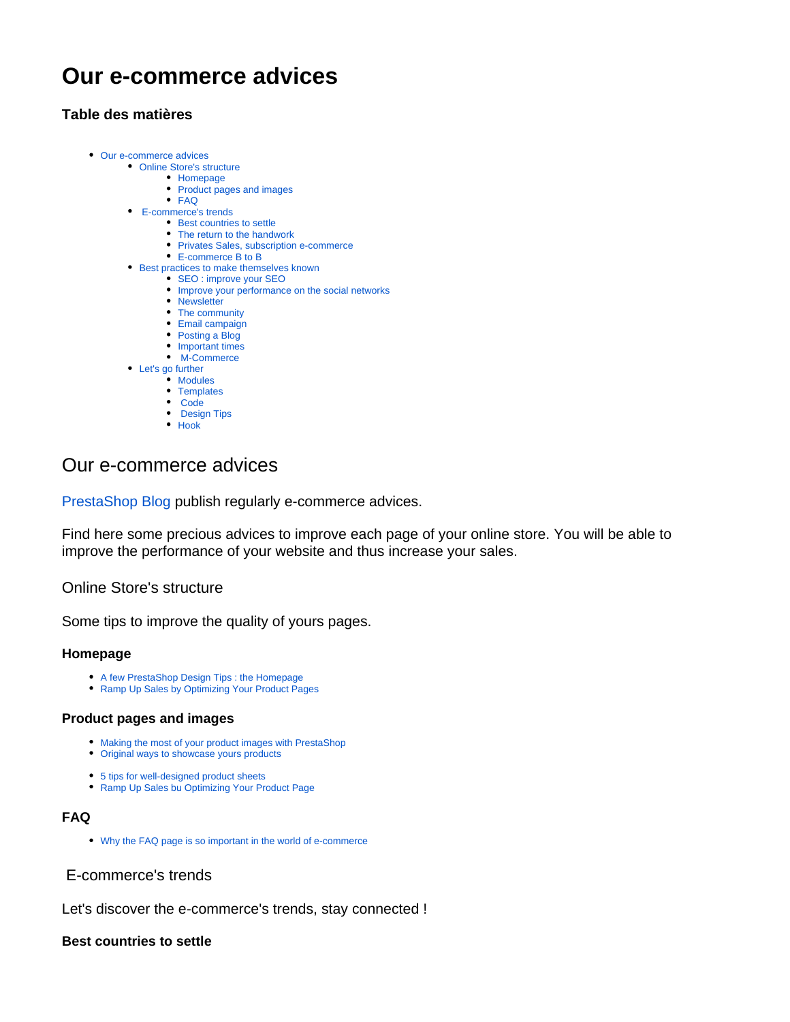# **Our e-commerce advices**

## **Table des matières**

- [Our e-commerce advices](#page-0-0)
	- [Online Store's structure](#page-0-1)
		- [Homepage](#page-0-2) • [Product pages and images](#page-0-3)
			-
	- [FAQ](#page-0-4)  [E-commerce's trends](#page-0-5)
		- [Best countries to settle](#page-0-6)
			- [The return to the handwork](#page-1-0)
			- **[Privates Sales, subscription e-commerce](#page-1-1)**
			- [E-commerce B to B](#page-1-2)
	- [Best practices to make themselves known](#page-1-3)
		- [SEO : improve your SEO](#page-1-4)
		- [Improve your performance on the social networks](#page-1-5)
		- [Newsletter](#page-1-6)
		- [The community](#page-1-7) [Email campaign](#page-1-8)
		- [Posting a Blog](#page-1-9)
		- [Important times](#page-1-10)
		- • [M-Commerce](#page-1-11)
	- [Let's go further](#page-1-12)
		- [Modules](#page-2-0)
			- [Templates](#page-2-1)
			- [Code](#page-2-2)
			- **•** [Design Tips](#page-2-3)
			- [Hook](#page-2-4)

## <span id="page-0-0"></span>Our e-commerce advices

[PrestaShop Blog](http://www.prestashop.com/blog/en/) publish regularly e-commerce advices.

Find here some precious advices to improve each page of your online store. You will be able to improve the performance of your website and thus increase your sales.

## <span id="page-0-1"></span>Online Store's structure

Some tips to improve the quality of yours pages.

#### <span id="page-0-2"></span>**Homepage**

- [A few PrestaShop Design Tips : the Homepage](http://www.prestashop.com/blog/en/a-design-tips-home-page/)
- [Ramp Up Sales by Optimizing Your Product Pages](http://www.prestashop.com/blog/en/ramp-sales-optimising-product-pages/)

#### <span id="page-0-3"></span>**Product pages and images**

- [Making the most of your product images with PrestaShop](http://www.prestashop.com/blog/fr/decuplez-vos-ventes-en-optimisant-vos-pages-produits/#more-10455)
- [Original ways to showcase yours products](http://www.prestashop.com/blog/en/2011/10/)
- 5 tips for well-designed product sheets
- [Ramp Up Sales bu Optimizing Your Product Page](http://www.prestashop.com/blog/en/ramp-sales-optimising-product-pages/)

## <span id="page-0-4"></span>**FAQ**

[Why the FAQ page is so important in the world of e-commerce](http://www.prestashop.com/blog/en/what-makes-good-faq-page/)

## <span id="page-0-5"></span>E-commerce's trends

Let's discover the e-commerce's trends, stay connected !

## <span id="page-0-6"></span>**Best countries to settle**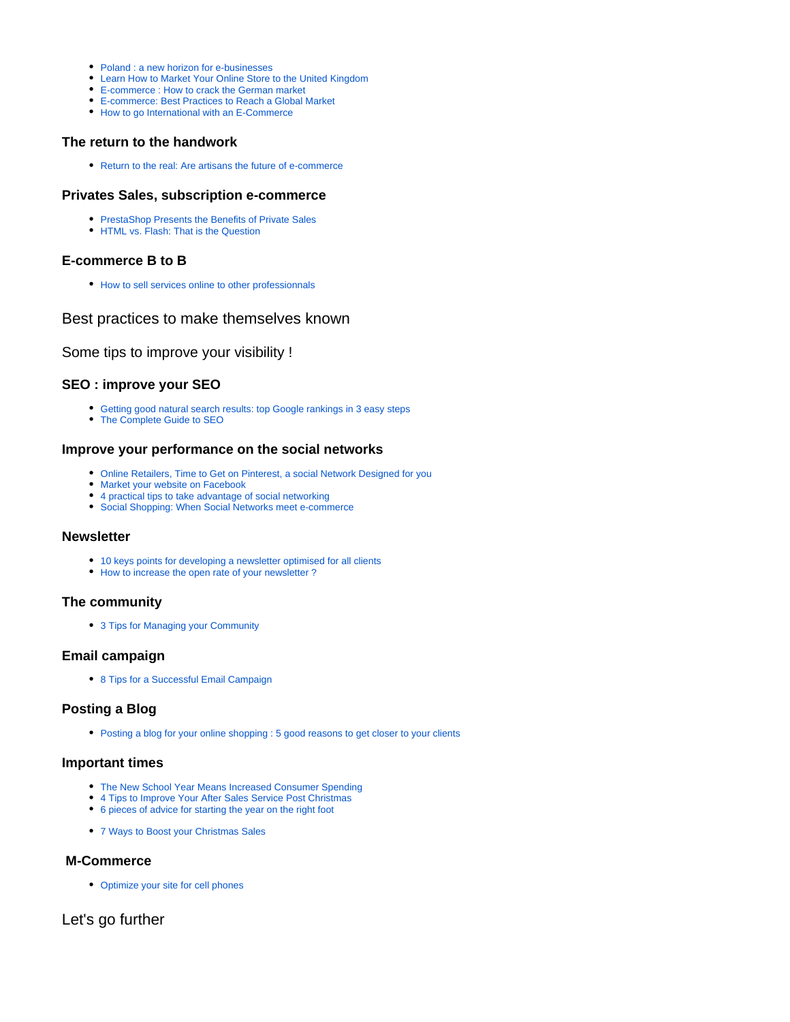- [Poland : a new horizon for e-businesses](http://www.prestashop.com/blog/en/poland-new-horizon-e-businesses/)
- [Learn How to Market Your Online Store to the United Kingdom](http://www.prestashop.com/blog/en/the-uk-europes-1-e-commerce-market/)
- [E-commerce : How to crack the German market](http://www.prestashop.com/blog/en/e-commerce-how-crack-german-market/)
- [E-commerce: Best Practices to Reach a Global Market](http://www.prestashop.com/blog/en/e-commerce-best-practices-reach-global-market/)
- [How to go International with an E-Commerce](http://www.prestashop.com/blog/en/how-to-go-international-with-an-e-commerce-website/)

#### <span id="page-1-0"></span>**The return to the handwork**

[Return to the real: Are artisans the future of e-commerce](http://www.prestashop.com/blog/en/return-real-are-artisans-future-e-commerce/)

#### <span id="page-1-1"></span>**Privates Sales, subscription e-commerce**

- **[PrestaShop Presents the Benefits of Private Sales](http://www.prestashop.com/blog/en/ventes-privees-private-sales/)**
- [HTML vs. Flash: That is the Question](http://www.prestashop.com/blog/en/html-vs-flash-the-comparison/)

#### <span id="page-1-2"></span>**E-commerce B to B**

[How to sell services online to other professionnals](http://www.prestashop.com/blog/en/how-to-sell-services-online-to-other-professionals/)

## <span id="page-1-3"></span>Best practices to make themselves known

Some tips to improve your visibility !

#### <span id="page-1-4"></span>**SEO : improve your SEO**

- [Getting good natural search results: top Google rankings in 3 easy steps](http://www.prestashop.com/blog/en/getting-good-natural-search-results-top-google-rankings-3-easy-steps/)
- [The Complete Guide to SEO](http://www.prestashop.com/en/white-paper-seo)

#### <span id="page-1-5"></span>**Improve your performance on the social networks**

- [Online Retailers, Time to Get on Pinterest, a social Network Designed for you](http://www.prestashop.com/blog/en/online-retailers-time-to-get-on-pinterest-a-social-network-designed-for-you/)
- [Market your website on Facebook](http://www.prestashop.com/blog/en/market-your-website-on-facebook/)
- [4 practical tips to take advantage of social networking](http://www.prestashop.com/blog/en/4_practical_tips_to_take_advantage_of_social_networking/)
- [Social Shopping: When Social Networks meet e-commerce](http://www.prestashop.com/blog/en/2011/07/)

#### <span id="page-1-6"></span>**Newsletter**

- [10 keys points for developing a newsletter optimised for all clients](http://www.prestashop.com/blog/en/10_key_points_for_developing_a_newsletter_optimised_for_all_clients/)
- [How to increase the open rate of your newsletter ?](http://www.prestashop.com/blog/en/how-to-increase-the-open-rate-of-your-newsletter/)

#### <span id="page-1-7"></span>**The community**

[3 Tips for Managing your Community](http://www.prestashop.com/blog/en/3-tips-for-managing-your-community/)

#### <span id="page-1-8"></span>**Email campaign**

[8 Tips for a Successful Email Campaign](http://www.prestashop.com/blog/en/8-tips-for-a-successful-email-campaign/)

## <span id="page-1-9"></span>**Posting a Blog**

• [Posting a blog for your online shopping : 5 good reasons to get closer to your clients](http://www.prestashop.com/blog/en/posting_a_blog_for_your_online_shop_5_good_reasons_to_get_closer_to_your_cl/)

#### <span id="page-1-10"></span>**Important times**

- [The New School Year Means Increased Consumer Spending](http://www.prestashop.com/blog/en/getting-ready-go-back-school-internet/)
- [4 Tips to Improve Your After Sales Service Post Christmas](http://www.prestashop.com/blog/en/4-tips-to-improve-your-after-sales-service-post-christmas/)
- [6 pieces of advice for starting the year on the right foot](http://www.prestashop.com/blog/en/6-pieces-of-advice-for-starting-the-year-on-the-right-foot/)
- [7 Ways to Boost your Christmas Sales](http://www.prestashop.com/blog/en/7_ways_to_boost_your_christmas_sales/)

#### <span id="page-1-11"></span> **M-Commerce**

• [Optimize your site for cell phones](http://www.prestashop.com/blog/en/optimize-your-site-for-cell-phones/)

## <span id="page-1-12"></span>Let's go further